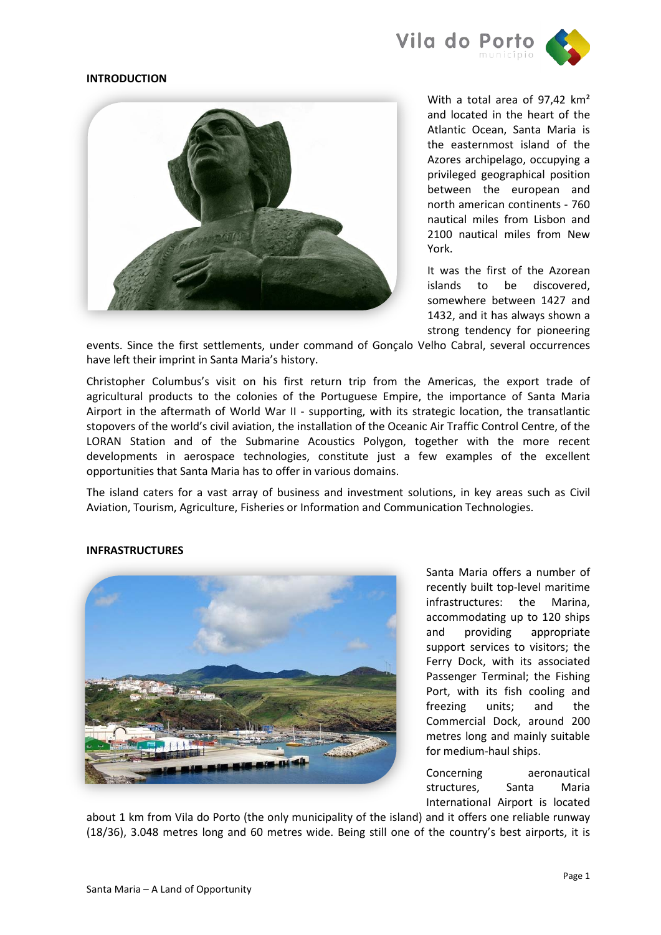

### **INTRODUCTION**



With a total area of 97.42 km<sup>2</sup> and located in the heart of the Atlantic Ocean, Santa Maria is the easternmost island of the Azores archipelago, occupying a privileged geographical position between the european and north american continents - 760 nautical miles from Lisbon and 2100 nautical miles from New York.

It was the first of the Azorean islands to be discovered, somewhere between 1427 and 1432, and it has always shown a strong tendency for pioneering

events. Since the first settlements, under command of Gonçalo Velho Cabral, several occurrences have left their imprint in Santa Maria's history.

Christopher Columbus's visit on his first return trip from the Americas, the export trade of agricultural products to the colonies of the Portuguese Empire, the importance of Santa Maria Airport in the aftermath of World War II - supporting, with its strategic location, the transatlantic stopovers of the world's civil aviation, the installation of the Oceanic Air Traffic Control Centre, of the LORAN Station and of the Submarine Acoustics Polygon, together with the more recent developments in aerospace technologies, constitute just a few examples of the excellent opportunities that Santa Maria has to offer in various domains.

The island caters for a vast array of business and investment solutions, in key areas such as Civil Aviation, Tourism, Agriculture, Fisheries or Information and Communication Technologies.

#### **INFRASTRUCTURES**



Santa Maria offers a number of recently built top-level maritime infrastructures: the Marina, accommodating up to 120 ships and providing appropriate support services to visitors; the Ferry Dock, with its associated Passenger Terminal; the Fishing Port, with its fish cooling and freezing units; and the Commercial Dock, around 200 metres long and mainly suitable for medium-haul ships.

Concerning aeronautical structures, Santa Maria International Airport is located

about 1 km from Vila do Porto (the only municipality of the island) and it offers one reliable runway (18/36), 3.048 metres long and 60 metres wide. Being still one of the country's best airports, it is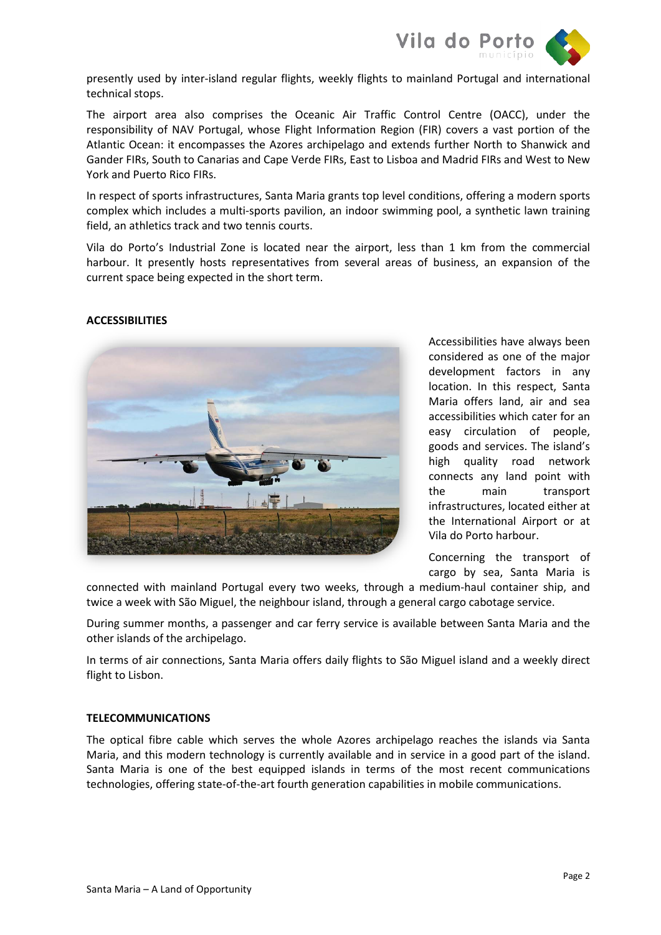

presently used by inter-island regular flights, weekly flights to mainland Portugal and international technical stops.

The airport area also comprises the Oceanic Air Traffic Control Centre (OACC), under the responsibility of NAV Portugal, whose Flight Information Region (FIR) covers a vast portion of the Atlantic Ocean: it encompasses the Azores archipelago and extends further North to Shanwick and Gander FIRs, South to Canarias and Cape Verde FIRs, East to Lisboa and Madrid FIRs and West to New York and Puerto Rico FIRs.

In respect of sports infrastructures, Santa Maria grants top level conditions, offering a modern sports complex which includes a multi-sports pavilion, an indoor swimming pool, a synthetic lawn training field, an athletics track and two tennis courts.

Vila do Porto's Industrial Zone is located near the airport, less than 1 km from the commercial harbour. It presently hosts representatives from several areas of business, an expansion of the current space being expected in the short term.

## **ACCESSIBILITIES**



Accessibilities have always been considered as one of the major development factors in any location. In this respect, Santa Maria offers land, air and sea accessibilities which cater for an easy circulation of people, goods and services. The island's high quality road network connects any land point with the main transport infrastructures, located either at the International Airport or at Vila do Porto harbour.

Concerning the transport of cargo by sea, Santa Maria is

connected with mainland Portugal every two weeks, through a medium-haul container ship, and twice a week with São Miguel, the neighbour island, through a general cargo cabotage service.

During summer months, a passenger and car ferry service is available between Santa Maria and the other islands of the archipelago.

In terms of air connections, Santa Maria offers daily flights to São Miguel island and a weekly direct flight to Lisbon.

### **TELECOMMUNICATIONS**

The optical fibre cable which serves the whole Azores archipelago reaches the islands via Santa Maria, and this modern technology is currently available and in service in a good part of the island. Santa Maria is one of the best equipped islands in terms of the most recent communications technologies, offering state-of-the-art fourth generation capabilities in mobile communications.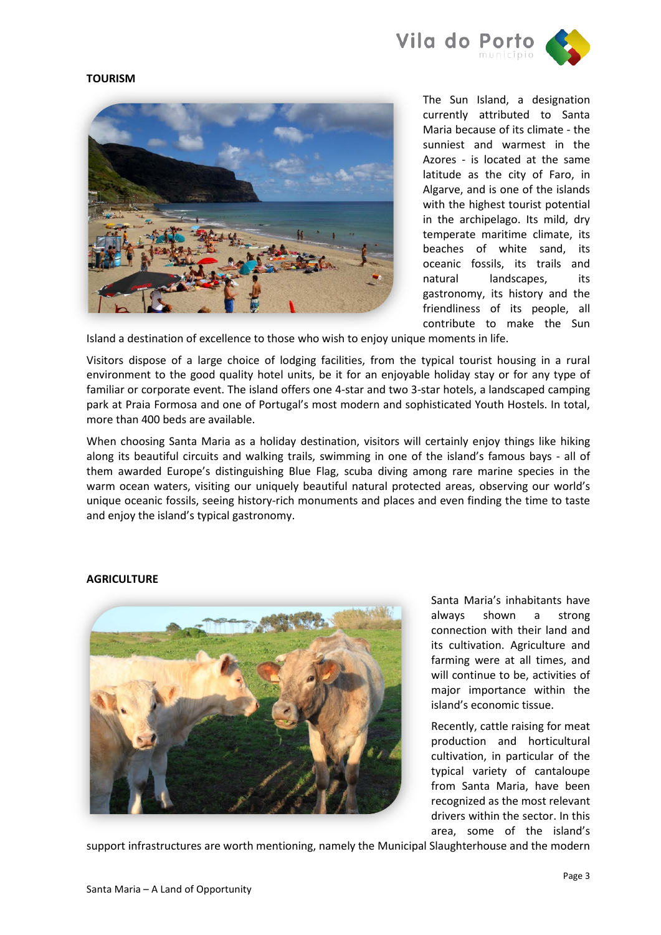

# **TOURISM**



The Sun Island, a designation currently attributed to Santa Maria because of its climate - the sunniest and warmest in the Azores - is located at the same latitude as the city of Faro, in Algarve, and is one of the islands with the highest tourist potential in the archipelago. Its mild, dry temperate maritime climate, its beaches of white sand, its oceanic fossils, its trails and natural landscapes, its gastronomy, its history and the friendliness of its people, all contribute to make the Sun

Island a destination of excellence to those who wish to enjoy unique moments in life.

Visitors dispose of a large choice of lodging facilities, from the typical tourist housing in a rural environment to the good quality hotel units, be it for an enjoyable holiday stay or for any type of familiar or corporate event. The island offers one 4-star and two 3-star hotels, a landscaped camping park at Praia Formosa and one of Portugal's most modern and sophisticated Youth Hostels. In total, more than 400 beds are available.

When choosing Santa Maria as a holiday destination, visitors will certainly enjoy things like hiking along its beautiful circuits and walking trails, swimming in one of the island's famous bays - all of them awarded Europe's distinguishing Blue Flag, scuba diving among rare marine species in the warm ocean waters, visiting our uniquely beautiful natural protected areas, observing our world's unique oceanic fossils, seeing history-rich monuments and places and even finding the time to taste and enjoy the island's typical gastronomy.

# **AGRICULTURE**



Santa Maria's inhabitants have always shown a strong connection with their land and its cultivation. Agriculture and farming were at all times, and will continue to be, activities of major importance within the island's economic tissue.

Recently, cattle raising for meat production and horticultural cultivation, in particular of the typical variety of cantaloupe from Santa Maria, have been recognized as the most relevant drivers within the sector. In this area, some of the island's

support infrastructures are worth mentioning, namely the Municipal Slaughterhouse and the modern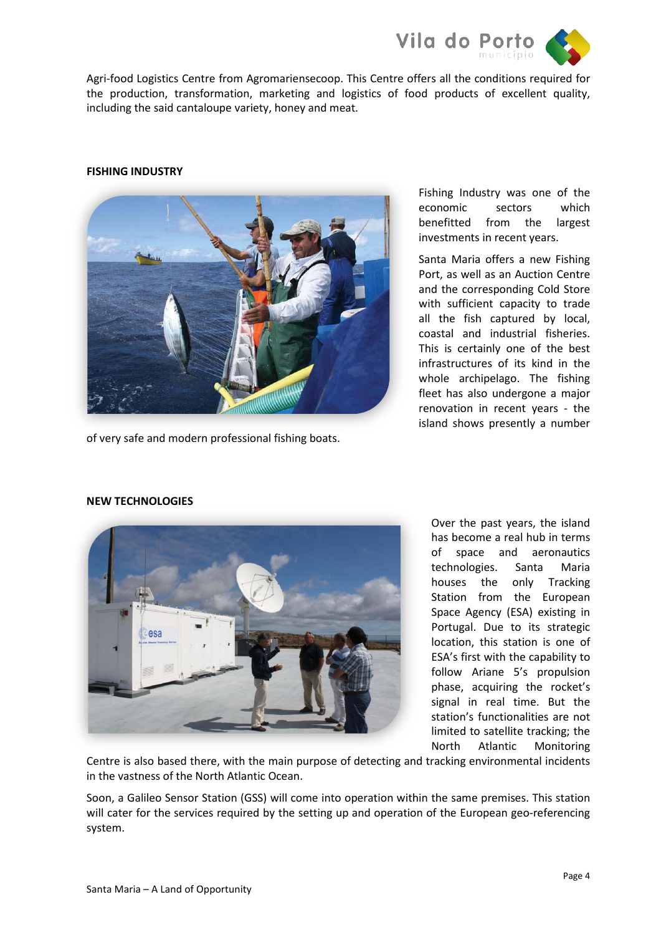

Agri-food Logistics Centre from Agromariensecoop. This Centre offers all the conditions required for the production, transformation, marketing and logistics of food products of excellent quality, including the said cantaloupe variety, honey and meat.

# **FISHING INDUSTRY**



of very safe and modern professional fishing boats.

Fishing Industry was one of the economic sectors which benefitted from the largest investments in recent years.

Santa Maria offers a new Fishing Port, as well as an Auction Centre and the corresponding Cold Store with sufficient capacity to trade all the fish captured by local, coastal and industrial fisheries. This is certainly one of the best infrastructures of its kind in the whole archipelago. The fishing fleet has also undergone a major renovation in recent years - the island shows presently a number



### **NEW TECHNOLOGIES**

Over the past years, the island has become a real hub in terms of space and aeronautics technologies. Santa Maria houses the only Tracking Station from the European Space Agency (ESA) existing in Portugal. Due to its strategic location, this station is one of ESA's first with the capability to follow Ariane 5's propulsion phase, acquiring the rocket's signal in real time. But the station's functionalities are not limited to satellite tracking; the North Atlantic Monitoring

Centre is also based there, with the main purpose of detecting and tracking environmental incidents in the vastness of the North Atlantic Ocean.

Soon, a Galileo Sensor Station (GSS) will come into operation within the same premises. This station will cater for the services required by the setting up and operation of the European geo-referencing system.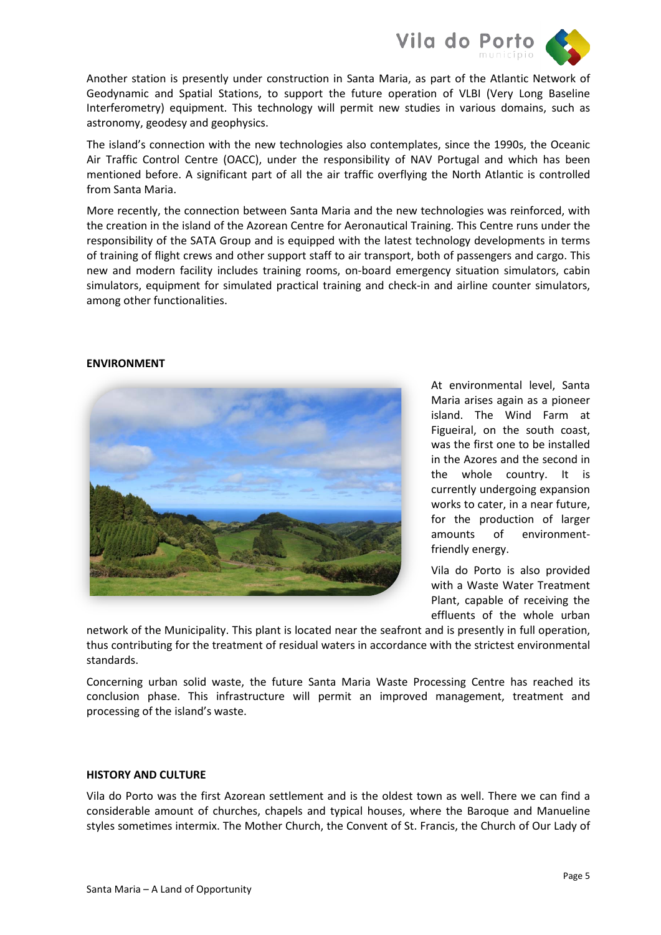

Another station is presently under construction in Santa Maria, as part of the Atlantic Network of Geodynamic and Spatial Stations, to support the future operation of VLBI (Very Long Baseline Interferometry) equipment. This technology will permit new studies in various domains, such as astronomy, geodesy and geophysics.

The island's connection with the new technologies also contemplates, since the 1990s, the Oceanic Air Traffic Control Centre (OACC), under the responsibility of NAV Portugal and which has been mentioned before. A significant part of all the air traffic overflying the North Atlantic is controlled from Santa Maria.

More recently, the connection between Santa Maria and the new technologies was reinforced, with the creation in the island of the Azorean Centre for Aeronautical Training. This Centre runs under the responsibility of the SATA Group and is equipped with the latest technology developments in terms of training of flight crews and other support staff to air transport, both of passengers and cargo. This new and modern facility includes training rooms, on-board emergency situation simulators, cabin simulators, equipment for simulated practical training and check-in and airline counter simulators, among other functionalities.

### **ENVIRONMENT**



At environmental level, Santa Maria arises again as a pioneer island. The Wind Farm at Figueiral, on the south coast, was the first one to be installed in the Azores and the second in the whole country. It is currently undergoing expansion works to cater, in a near future, for the production of larger amounts of environmentfriendly energy.

Vila do Porto is also provided with a Waste Water Treatment Plant, capable of receiving the effluents of the whole urban

network of the Municipality. This plant is located near the seafront and is presently in full operation, thus contributing for the treatment of residual waters in accordance with the strictest environmental standards.

Concerning urban solid waste, the future Santa Maria Waste Processing Centre has reached its conclusion phase. This infrastructure will permit an improved management, treatment and processing of the island's waste.

### **HISTORY AND CULTURE**

Vila do Porto was the first Azorean settlement and is the oldest town as well. There we can find a considerable amount of churches, chapels and typical houses, where the Baroque and Manueline styles sometimes intermix. The Mother Church, the Convent of St. Francis, the Church of Our Lady of